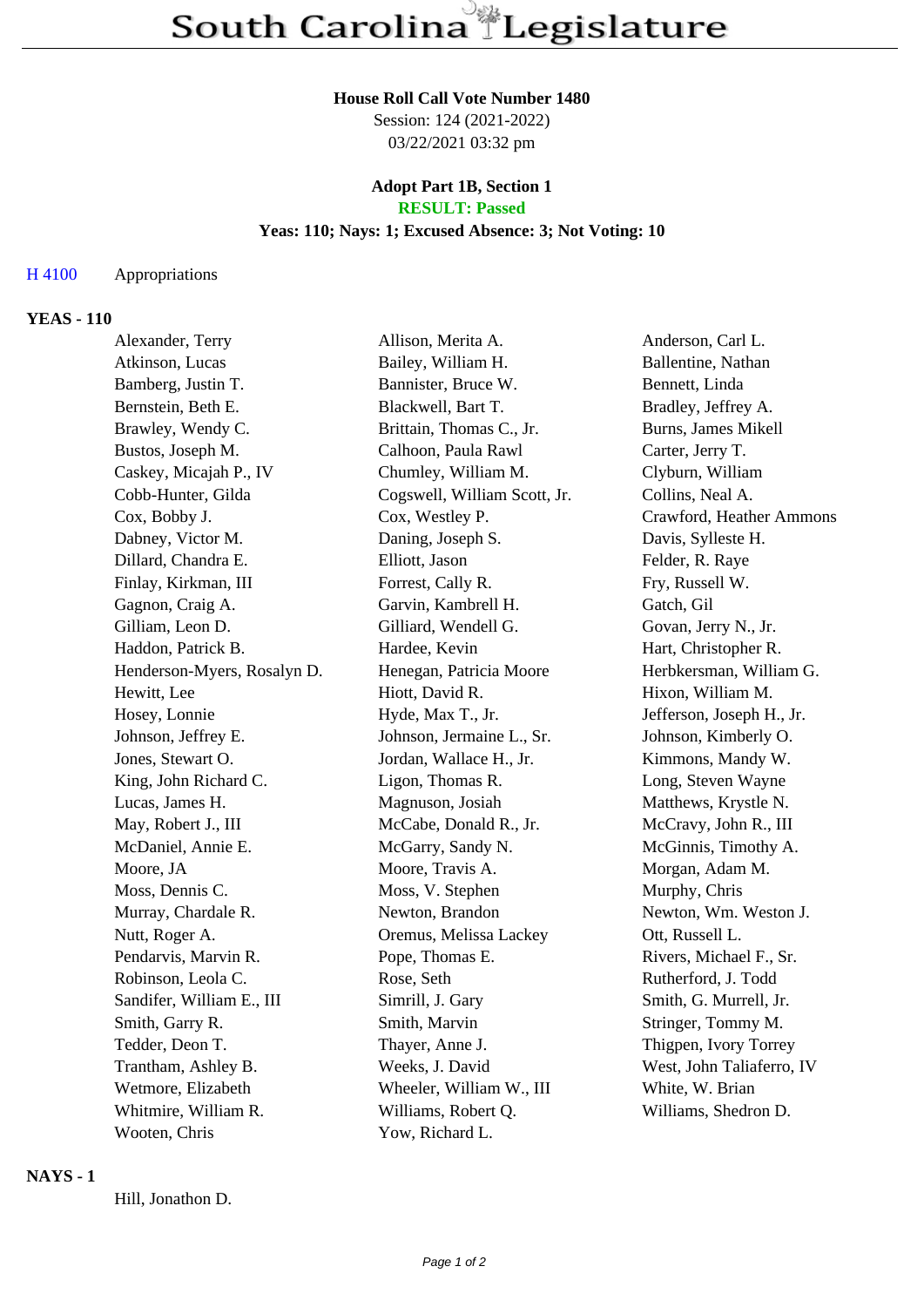# **House Roll Call Vote Number 1480**

Session: 124 (2021-2022) 03/22/2021 03:32 pm

#### **Adopt Part 1B, Section 1 RESULT: Passed**

# **Yeas: 110; Nays: 1; Excused Absence: 3; Not Voting: 10**

### H 4100 Appropriations

### **YEAS - 110**

| Alexander, Terry            | Allison, Merita A.           | Anderson, Carl L.         |
|-----------------------------|------------------------------|---------------------------|
| Atkinson, Lucas             | Bailey, William H.           | Ballentine, Nathan        |
| Bamberg, Justin T.          | Bannister, Bruce W.          | Bennett, Linda            |
| Bernstein, Beth E.          | Blackwell, Bart T.           | Bradley, Jeffrey A.       |
| Brawley, Wendy C.           | Brittain, Thomas C., Jr.     | Burns, James Mikell       |
| Bustos, Joseph M.           | Calhoon, Paula Rawl          | Carter, Jerry T.          |
| Caskey, Micajah P., IV      | Chumley, William M.          | Clyburn, William          |
| Cobb-Hunter, Gilda          | Cogswell, William Scott, Jr. | Collins, Neal A.          |
| Cox, Bobby J.               | Cox, Westley P.              | Crawford, Heather Ammons  |
| Dabney, Victor M.           | Daning, Joseph S.            | Davis, Sylleste H.        |
| Dillard, Chandra E.         | Elliott, Jason               | Felder, R. Raye           |
| Finlay, Kirkman, III        | Forrest, Cally R.            | Fry, Russell W.           |
| Gagnon, Craig A.            | Garvin, Kambrell H.          | Gatch, Gil                |
| Gilliam, Leon D.            | Gilliard, Wendell G.         | Govan, Jerry N., Jr.      |
| Haddon, Patrick B.          | Hardee, Kevin                | Hart, Christopher R.      |
| Henderson-Myers, Rosalyn D. | Henegan, Patricia Moore      | Herbkersman, William G.   |
| Hewitt, Lee                 | Hiott, David R.              | Hixon, William M.         |
| Hosey, Lonnie               | Hyde, Max T., Jr.            | Jefferson, Joseph H., Jr. |
| Johnson, Jeffrey E.         | Johnson, Jermaine L., Sr.    | Johnson, Kimberly O.      |
| Jones, Stewart O.           | Jordan, Wallace H., Jr.      | Kimmons, Mandy W.         |
| King, John Richard C.       | Ligon, Thomas R.             | Long, Steven Wayne        |
| Lucas, James H.             | Magnuson, Josiah             | Matthews, Krystle N.      |
| May, Robert J., III         | McCabe, Donald R., Jr.       | McCravy, John R., III     |
| McDaniel, Annie E.          | McGarry, Sandy N.            | McGinnis, Timothy A.      |
| Moore, JA                   | Moore, Travis A.             | Morgan, Adam M.           |
| Moss, Dennis C.             | Moss, V. Stephen             | Murphy, Chris             |
| Murray, Chardale R.         | Newton, Brandon              | Newton, Wm. Weston J.     |
| Nutt, Roger A.              | Oremus, Melissa Lackey       | Ott, Russell L.           |
| Pendarvis, Marvin R.        | Pope, Thomas E.              | Rivers, Michael F., Sr.   |
| Robinson, Leola C.          | Rose, Seth                   | Rutherford, J. Todd       |
| Sandifer, William E., III   | Simrill, J. Gary             | Smith, G. Murrell, Jr.    |
| Smith, Garry R.             | Smith, Marvin                | Stringer, Tommy M.        |
| Tedder, Deon T.             | Thayer, Anne J.              | Thigpen, Ivory Torrey     |
| Trantham, Ashley B.         | Weeks, J. David              | West, John Taliaferro, IV |
| Wetmore, Elizabeth          | Wheeler, William W., III     | White, W. Brian           |
| Whitmire, William R.        | Williams, Robert Q.          | Williams, Shedron D.      |
| Wooten, Chris               | Yow, Richard L.              |                           |

#### **NAYS - 1**

Hill, Jonathon D.